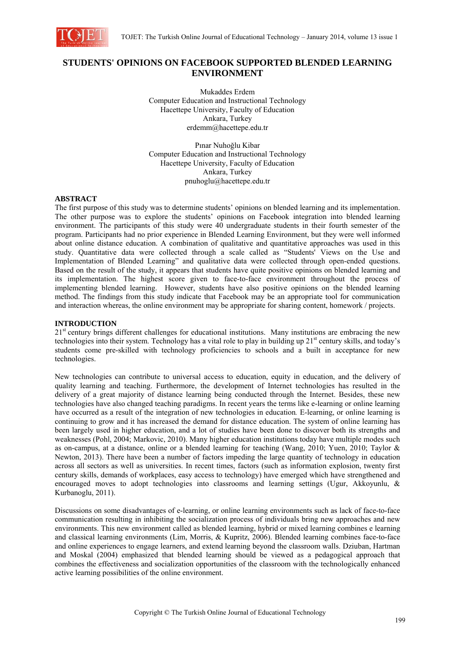

# **STUDENTS' OPINIONS ON FACEBOOK SUPPORTED BLENDED LEARNING ENVIRONMENT**

Mukaddes Erdem Computer Education and Instructional Technology Hacettepe University, Faculty of Education Ankara, Turkey erdemm@hacettepe.edu.tr

Pınar Nuhoğlu Kibar Computer Education and Instructional Technology Hacettepe University, Faculty of Education Ankara, Turkey pnuhoglu@hacettepe.edu.tr

### **ABSTRACT**

The first purpose of this study was to determine students' opinions on blended learning and its implementation. The other purpose was to explore the students' opinions on Facebook integration into blended learning environment. The participants of this study were 40 undergraduate students in their fourth semester of the program. Participants had no prior experience in Blended Learning Environment, but they were well informed about online distance education. A combination of qualitative and quantitative approaches was used in this study. Quantitative data were collected through a scale called as "Students' Views on the Use and Implementation of Blended Learning" and qualitative data were collected through open-ended questions. Based on the result of the study, it appears that students have quite positive opinions on blended learning and its implementation. The highest score given to face-to-face environment throughout the process of implementing blended learning. However, students have also positive opinions on the blended learning method. The findings from this study indicate that Facebook may be an appropriate tool for communication and interaction whereas, the online environment may be appropriate for sharing content, homework / projects.

### **INTRODUCTION**

21<sup>st</sup> century brings different challenges for educational institutions. Many institutions are embracing the new technologies into their system. Technology has a vital role to play in building up  $21<sup>st</sup>$  century skills, and today's students come pre-skilled with technology proficiencies to schools and a built in acceptance for new technologies.

New technologies can contribute to universal access to education, equity in education, and the delivery of quality learning and teaching. Furthermore, the development of Internet technologies has resulted in the delivery of a great majority of distance learning being conducted through the Internet. Besides, these new technologies have also changed teaching paradigms. In recent years the terms like e-learning or online learning have occurred as a result of the integration of new technologies in education*.* E-learning, or online learning is continuing to grow and it has increased the demand for distance education. The system of online learning has been largely used in higher education, and a lot of studies have been done to discover both its strengths and weaknesses (Pohl, 2004; Markovic, 2010). Many higher education institutions today have multiple modes such as on-campus, at a distance, online or a blended learning for teaching (Wang, 2010; Yuen, 2010; Taylor & Newton, 2013). There have been a number of factors impeding the large quantity of technology in education across all sectors as well as universities. In recent times, factors (such as information explosion, twenty first century skills, demands of workplaces, easy access to technology) have emerged which have strengthened and encouraged moves to adopt technologies into classrooms and learning settings (Ugur, Akkoyunlu, & Kurbanoglu, 2011).

Discussions on some disadvantages of e-learning, or online learning environments such as lack of face-to-face communication resulting in inhibiting the socialization process of individuals bring new approaches and new environments. This new environment called as blended learning, hybrid or mixed learning combines e learning and classical learning environments (Lim, Morris, & Kupritz, 2006). Blended learning combines face-to-face and online experiences to engage learners, and extend learning beyond the classroom walls. Dziuban, Hartman and Moskal (2004) emphasized that blended learning should be viewed as a pedagogical approach that combines the effectiveness and socialization opportunities of the classroom with the technologically enhanced active learning possibilities of the online environment.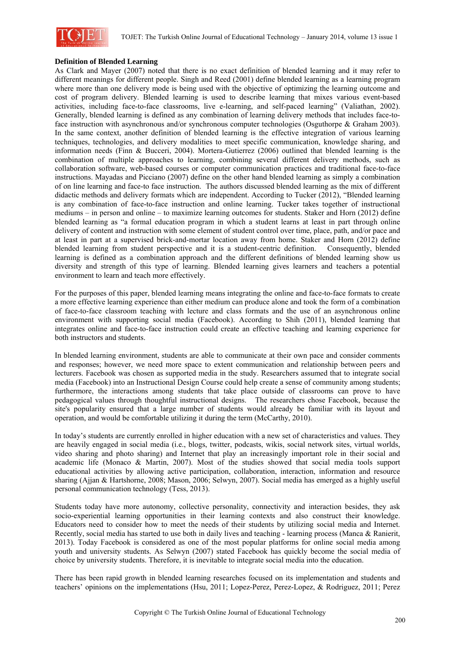

#### **Definition of Blended Learning**

As Clark and Mayer (2007) noted that there is no exact definition of blended learning and it may refer to different meanings for different people. Singh and Reed (2001) define blended learning as a learning program where more than one delivery mode is being used with the objective of optimizing the learning outcome and cost of program delivery. Blended learning is used to describe learning that mixes various event-based activities, including face-to-face classrooms, live e-learning, and self-paced learning" (Valiathan, 2002). Generally, blended learning is defined as any combination of learning delivery methods that includes face-toface instruction with asynchronous and/or synchronous computer technologies (Osguthorpe & Graham 2003). In the same context, another definition of blended learning is the effective integration of various learning techniques, technologies, and delivery modalities to meet specific communication, knowledge sharing, and information needs (Finn & Bucceri, 2004). Mortera-Gutierrez (2006) outlined that blended learning is the combination of multiple approaches to learning, combining several different delivery methods, such as collaboration software, web-based courses or computer communication practices and traditional face-to-face instructions. Mayadas and Picciano (2007) define on the other hand blended learning as simply a combination of on line learning and face-to face instruction. The authors discussed blended learning as the mix of different didactic methods and delivery formats which are independent. According to Tucker (2012), "Blended learning is any combination of face-to-face instruction and online learning. Tucker takes together of instructional mediums – in person and online – to maximize learning outcomes for students. Staker and Horn (2012) define blended learning as "a formal education program in which a student learns at least in part through online delivery of content and instruction with some element of student control over time, place, path, and/or pace and at least in part at a supervised brick-and-mortar location away from home. Staker and Horn (2012) define blended learning from student perspective and it is a student-centric definition. Consequently, blended learning is defined as a combination approach and the different definitions of blended learning show us diversity and strength of this type of learning. Blended learning gives learners and teachers a potential environment to learn and teach more effectively.

For the purposes of this paper, blended learning means integrating the online and face-to-face formats to create a more effective learning experience than either medium can produce alone and took the form of a combination of face-to-face classroom teaching with lecture and class formats and the use of an asynchronous online environment with supporting social media (Facebook). According to Shih (2011), blended learning that integrates online and face-to-face instruction could create an effective teaching and learning experience for both instructors and students.

In blended learning environment, students are able to communicate at their own pace and consider comments and responses; however, we need more space to extent communication and relationship between peers and lecturers. Facebook was chosen as supported media in the study. Researchers assumed that to integrate social media (Facebook) into an Instructional Design Course could help create a sense of community among students; furthermore, the interactions among students that take place outside of classrooms can prove to have pedagogical values through thoughtful instructional designs. The researchers chose Facebook, because the site's popularity ensured that a large number of students would already be familiar with its layout and operation, and would be comfortable utilizing it during the term (McCarthy, 2010).

In today's students are currently enrolled in higher education with a new set of characteristics and values. They are heavily engaged in social media (i.e., blogs, twitter, podcasts, wikis, social network sites, virtual worlds, video sharing and photo sharing) and Internet that play an increasingly important role in their social and academic life (Monaco & Martin, 2007). Most of the studies showed that social media tools support educational activities by allowing active participation, collaboration, interaction, information and resource sharing (Ajjan & Hartshorne, 2008; Mason, 2006; Selwyn, 2007). Social media has emerged as a highly useful personal communication technology (Tess, 2013).

Students today have more autonomy, collective personality, connectivity and interaction besides, they ask socio-experiential learning opportunities in their learning contexts and also construct their knowledge. Educators need to consider how to meet the needs of their students by utilizing social media and Internet. Recently, social media has started to use both in daily lives and teaching - learning process (Manca & Ranierit, 2013). Today Facebook is considered as one of the most popular platforms for online social media among youth and university students. As Selwyn (2007) stated Facebook has quickly become the social media of choice by university students. Therefore, it is inevitable to integrate social media into the education.

There has been rapid growth in blended learning researches focused on its implementation and students and teachers' opinions on the implementations (Hsu, 2011; Lopez-Perez, Perez-Lopez, & Rodriguez, 2011; Perez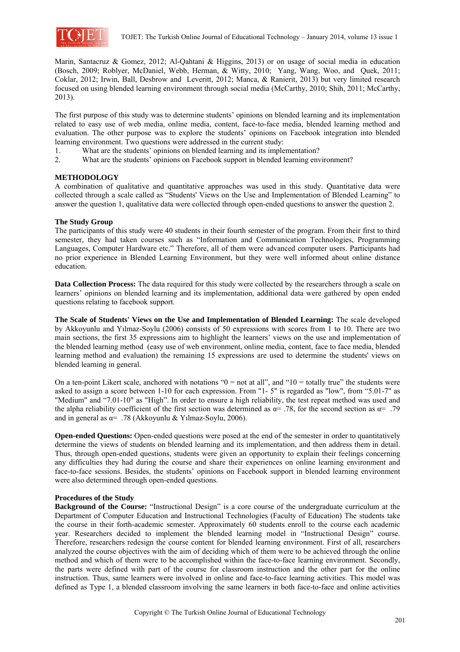

Marin, Santacruz & Gomez, 2012; Al-Qahtani & Higgins, 2013) or on usage of social media in education (Bosch, 2009; Roblyer, McDaniel, Webb, Herman, & Witty, 2010; Yang, Wang, Woo, and Quek, 2011; Coklar, 2012; Irwin, Ball, Desbrow and Leveritt, 2012; Manca, & Ranierit, 2013) but very limited research focused on using blended learning environment through social media (McCarthy, 2010; Shih, 2011; McCarthy, 2013).

The first purpose of this study was to determine students' opinions on blended learning and its implementation related to easy use of web media, online media, content, face-to-face media, blended learning method and evaluation. The other purpose was to explore the students' opinions on Facebook integration into blended learning environment. Two questions were addressed in the current study:

- 1. What are the students' opinions on blended learning and its implementation?
- 2. What are the students' opinions on Facebook support in blended learning environment?

## **METHODOLOGY**

A combination of qualitative and quantitative approaches was used in this study. Quantitative data were collected through a scale called as "Students' Views on the Use and Implementation of Blended Learning" to answer the question 1, qualitative data were collected through open-ended questions to answer the question 2.

### **The Study Group**

The participants of this study were 40 students in their fourth semester of the program. From their first to third semester, they had taken courses such as "Information and Communication Technologies, Programming Languages, Computer Hardware etc." Therefore, all of them were advanced computer users. Participants had no prior experience in Blended Learning Environment, but they were well informed about online distance education.

**Data Collection Process:** The data required for this study were collected by the researchers through a scale on learners' opinions on blended learning and its implementation, additional data were gathered by open ended questions relating to facebook support.

**The Scale of Students' Views on the Use and Implementation of Blended Learning:** The scale developed by Akkoyunlu and Yılmaz-Soylu (2006) consists of 50 expressions with scores from 1 to 10. There are two main sections, the first 35 expressions aim to highlight the learners' views on the use and implementation of the blended learning method (easy use of web environment, online media, content, face to face media, blended learning method and evaluation) the remaining 15 expressions are used to determine the students' views on blended learning in general.

On a ten-point Likert scale, anchored with notations " $0 =$  not at all", and " $10 =$  totally true" the students were asked to assign a score between 1-10 for each expression. From "1- 5" is regarded as "low", from "5.01-7" as "Medium" and "7.01-10" as "High". In order to ensure a high reliability, the test repeat method was used and the alpha reliability coefficient of the first section was determined as  $\alpha$ = .78, for the second section as  $\alpha$ = .79 and in general as  $\alpha$ = .78 (Akkoyunlu & Yılmaz-Soylu, 2006).

**Open-ended Questions:** Open-ended questions were posed at the end of the semester in order to quantitatively determine the views of students on blended learning and its implementation, and then address them in detail. Thus, through open-ended questions, students were given an opportunity to explain their feelings concerning any difficulties they had during the course and share their experiences on online learning environment and face-to-face sessions. Besides, the students' opinions on Facebook support in blended learning environment were also determined through open-ended questions.

### **Procedures of the Study**

**Background of the Course:** "Instructional Design" is a core course of the undergraduate curriculum at the Department of Computer Education and Instructional Technologies (Faculty of Education) The students take the course in their forth-academic semester. Approximately 60 students enroll to the course each academic year. Researchers decided to implement the blended learning model in "Instructional Design" course. Therefore, researchers redesign the course content for blended learning environment. First of all, researchers analyzed the course objectives with the aim of deciding which of them were to be achieved through the online method and which of them were to be accomplished within the face-to-face learning environment. Secondly, the parts were defined with part of the course for classroom instruction and the other part for the online instruction. Thus, same learners were involved in online and face-to-face learning activities. This model was defined as Type 1, a blended classroom involving the same learners in both face-to-face and online activities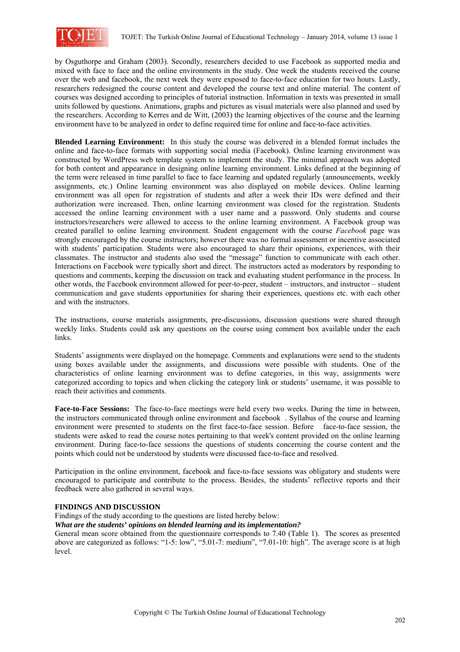

by Osguthorpe and Graham (2003). Secondly, researchers decided to use Facebook as supported media and mixed with face to face and the online environments in the study. One week the students received the course over the web and facebook, the next week they were exposed to face-to-face education for two hours. Lastly, researchers redesigned the course content and developed the course text and online material. The content of courses was designed according to principles of tutorial instruction. Information in texts was presented in small units followed by questions. Animations, graphs and pictures as visual materials were also planned and used by the researchers. According to Kerres and de Witt, (2003) the learning objectives of the course and the learning environment have to be analyzed in order to define required time for online and face-to-face activities.

**Blended Learning Environment:** In this study the course was delivered in a blended format includes the online and face-to-face formats with supporting social media (Facebook). Online learning environment was constructed by WordPress web template system to implement the study. The minimal approach was adopted for both content and appearance in designing online learning environment. Links defined at the beginning of the term were released in time parallel to face to face learning and updated regularly (announcements, weekly assignments, etc.) Online learning environment was also displayed on mobile devices. Online learning environment was all open for registration of students and after a week their IDs were defined and their authorization were increased. Then, online learning environment was closed for the registration. Students accessed the online learning environment with a user name and a password. Only students and course instructors/researchers were allowed to access to the online learning environment. A Facebook group was created parallel to online learning environment. Student engagement with the course *Facebook* page was strongly encouraged by the course instructors; however there was no formal assessment or incentive associated with students' participation. Students were also encouraged to share their opinions, experiences, with their classmates. The instructor and students also used the "message" function to communicate with each other. Interactions on Facebook were typically short and direct. The instructors acted as moderators by responding to questions and comments, keeping the discussion on track and evaluating student performance in the process. In other words, the Facebook environment allowed for peer-to-peer, student – instructors, and instructor – student communication and gave students opportunities for sharing their experiences, questions etc. with each other and with the instructors.

The instructions, course materials assignments, pre-discussions, discussion questions were shared through weekly links. Students could ask any questions on the course using comment box available under the each links.

Students' assignments were displayed on the homepage. Comments and explanations were send to the students using boxes available under the assignments, and discussions were possible with students. One of the characteristics of online learning environment was to define categories, in this way, assignments were categorized according to topics and when clicking the category link or students' username, it was possible to reach their activities and comments.

**Face-to-Face Sessions:** The face-to-face meetings were held every two weeks. During the time in between, the instructors communicated through online environment and facebook . Syllabus of the course and learning environment were presented to students on the first face-to-face session. Before face-to-face session, the students were asked to read the course notes pertaining to that week's content provided on the online learning environment. During face-to-face sessions the questions of students concerning the course content and the points which could not be understood by students were discussed face-to-face and resolved.

Participation in the online environment, facebook and face-to-face sessions was obligatory and students were encouraged to participate and contribute to the process. Besides, the students' reflective reports and their feedback were also gathered in several ways.

### **FINDINGS AND DISCUSSION**

Findings of the study according to the questions are listed hereby below:

*What are the students' opinions on blended learning and its implementation?* 

General mean score obtained from the questionnaire corresponds to 7.40 (Table 1). The scores as presented above are categorized as follows: "1-5: low", "5.01-7: medium", "7.01-10: high". The average score is at high level.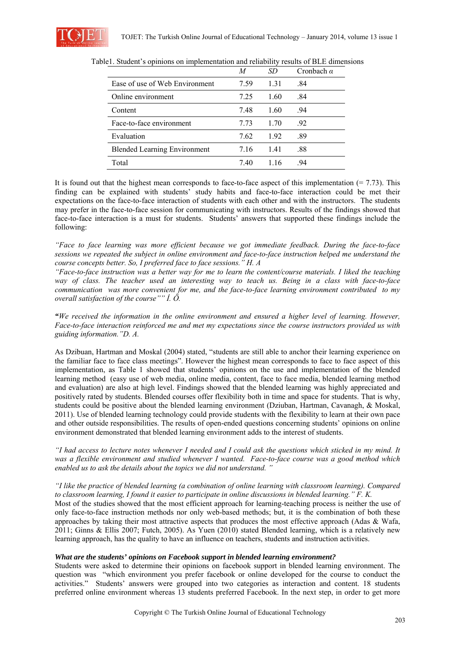

|                                     | М    | SD   | Cronbach $\alpha$ |
|-------------------------------------|------|------|-------------------|
| Ease of use of Web Environment      | 7.59 | 1.31 | .84               |
| Online environment                  | 7 25 | 1.60 | .84               |
| Content                             | 7.48 | 1.60 | .94               |
| Face-to-face environment            | 7.73 | 1.70 | .92               |
| Evaluation                          | 7.62 | 1.92 | .89               |
| <b>Blended Learning Environment</b> | 7.16 | 1.41 | .88               |
| Total                               | 7.40 | 116  | 94                |

Table1. Student's opinions on implementation and reliability results of BLE dimensions

It is found out that the highest mean corresponds to face-to-face aspect of this implementation  $(= 7.73)$ . This finding can be explained with students' study habits and face-to-face interaction could be met their expectations on the face-to-face interaction of students with each other and with the instructors. The students may prefer in the face-to-face session for communicating with instructors. Results of the findings showed that face-to-face interaction is a must for students. Students' answers that supported these findings include the following:

*"Face to face learning was more efficient because we got immediate feedback. During the face-to-face sessions we repeated the subject in online environment and face-to-face instruction helped me understand the course concepts better. So, I preferred face to face sessions." H. A* 

*"Face-to-face instruction was a better way for me to learn the content/course materials. I liked the teaching way of class. The teacher used an interesting way to teach us. Being in a class with face-to-face communication was more convenient for me, and the face-to-face learning environment contributed to my overall satisfaction of the course"" İ. Ö.* 

*"We received the information in the online environment and ensured a higher level of learning. However, Face-to-face interaction reinforced me and met my expectations since the course instructors provided us with guiding information."D. A.*

As Dzibuan, Hartman and Moskal (2004) stated, "students are still able to anchor their learning experience on the familiar face to face class meetings". However the highest mean corresponds to face to face aspect of this implementation, as Table 1 showed that students' opinions on the use and implementation of the blended learning method (easy use of web media, online media, content, face to face media, blended learning method and evaluation) are also at high level. Findings showed that the blended learning was highly appreciated and positively rated by students. Blended courses offer flexibility both in time and space for students. That is why, students could be positive about the blended learning environment (Dziuban, Hartman, Cavanagh, & Moskal, 2011). Use of blended learning technology could provide students with the flexibility to learn at their own pace and other outside responsibilities. The results of open-ended questions concerning students' opinions on online environment demonstrated that blended learning environment adds to the interest of students.

*"I had access to lecture notes whenever I needed and I could ask the questions which sticked in my mind. It was a flexible environment and studied whenever I wanted. Face-to-face course was a good method which enabled us to ask the details about the topics we did not understand. "* 

*"I like the practice of blended learning (a combination of online learning with classroom learning). Compared to classroom learning, I found it easier to participate in online discussions in blended learning." F. K.*  Most of the studies showed that the most efficient approach for learning-teaching process is neither the use of only face-to-face instruction methods nor only web-based methods; but, it is the combination of both these

approaches by taking their most attractive aspects that produces the most effective approach (Adas & Wafa, 2011; Ginns & Ellis 2007; Futch, 2005). As Yuen (2010) stated Blended learning, which is a relatively new learning approach, has the quality to have an influence on teachers, students and instruction activities.

### *What are the students' opinions on Facebook support in blended learning environment?*

Students were asked to determine their opinions on facebook support in blended learning environment. The question was "which environment you prefer facebook or online developed for the course to conduct the activities." Students' answers were grouped into two categories as interaction and content. 18 students preferred online environment whereas 13 students preferred Facebook. In the next step, in order to get more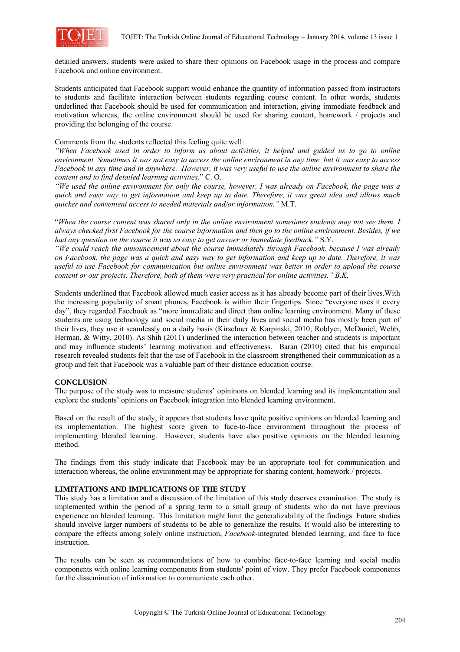

detailed answers, students were asked to share their opinions on Facebook usage in the process and compare Facebook and online environment.

Students anticipated that Facebook support would enhance the quantity of information passed from instructors to students and facilitate interaction between students regarding course content. In other words, students underlined that Facebook should be used for communication and interaction, giving immediate feedback and motivation whereas, the online environment should be used for sharing content, homework / projects and providing the belonging of the course.

Comments from the students reflected this feeling quite well:

*"When Facebook used in order to inform us about activities, it helped and guided us to go to online environment. Sometimes it was not easy to access the online environment in any time, but it was easy to access Facebook in any time and in anywhere. However, it was very useful to use the online environment to share the content and to find detailed learning activities.*" C. O.

*"We used the online environment for only the course, however, I was already on Facebook, the page was a quick and easy way to get information and keep up to date. Therefore, it was great idea and allows much quicker and convenient access to needed materials and/or information."* M.T.

"*When the course content was shared only in the online environment sometimes students may not see them. I always checked first Facebook for the course information and then go to the online environment. Besides, if we had any question on the course it was so easy to get answer or immediate feedback."* S.Y.

*"We could reach the announcement about the course immediately through Facebook, because I was already on Facebook, the page was a quick and easy way to get information and keep up to date. Therefore, it was useful to use Facebook for communication but online environment was better in order to upload the course content or our projects. Therefore, both of them were very practical for online activities." B.K.* 

Students underlined that Facebook allowed much easier access as it has already become part of their lives.With the increasing popularity of smart phones, Facebook is within their fingertips. Since "everyone uses it every day", they regarded Facebook as "more immediate and direct than online learning environment. Many of these students are using technology and social media in their daily lives and social media has mostly been part of their lives, they use it seamlessly on a daily basis (Kirschner & Karpinski, 2010; Roblyer, McDaniel, Webb, Herman, & Witty, 2010). As Shih (2011) underlined the interaction between teacher and students is important and may influence students' learning motivation and effectiveness. Baran (2010) cited that his empirical research revealed students felt that the use of Facebook in the classroom strengthened their communication as a group and felt that Facebook was a valuable part of their distance education course.

### **CONCLUSION**

The purpose of the study was to measure students' opininons on blended learning and its implementation and explore the students' opinions on Facebook integration into blended learning environment.

Based on the result of the study, it appears that students have quite positive opinions on blended learning and its implementation. The highest score given to face-to-face environment throughout the process of implementing blended learning. However, students have also positive opinions on the blended learning method.

The findings from this study indicate that Facebook may be an appropriate tool for communication and interaction whereas, the online environment may be appropriate for sharing content, homework / projects.

### **LIMITATIONS AND IMPLICATIONS OF THE STUDY**

This study has a limitation and a discussion of the limitation of this study deserves examination. The study is implemented within the period of a spring term to a small group of students who do not have previous experience on blended learning. This limitation might limit the generalizability of the findings. Future studies should involve larger numbers of students to be able to generalize the results. It would also be interesting to compare the effects among solely online instruction, *Facebook*-integrated blended learning, and face to face instruction.

The results can be seen as recommendations of how to combine face-to-face learning and social media components with online learning components from students' point of view. They prefer Facebook components for the dissemination of information to communicate each other.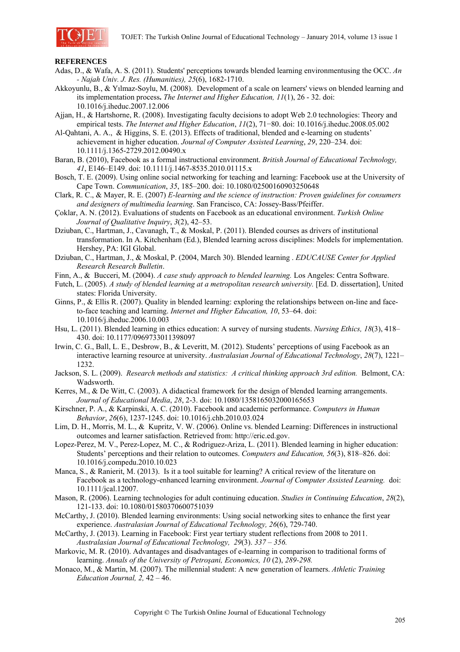

#### **REFERENCES**

- Adas, D., & Wafa, A. S. (2011). Students' perceptions towards blended learning environmentusing the OCC. *An - Najah Univ. J. Res. (Humanities), 25*(6), 1682-1710.
- Akkoyunlu, B., & Yılmaz-Soylu, M. (2008). Development of a scale on learners' views on blended learning and its implementation process**.** *The Internet and Higher Education, 11*(1), 26 - 32. doi: 10.1016/j.iheduc.2007.12.006
- Ajjan, H., & Hartshorne, R. (2008). Investigating faculty decisions to adopt Web 2.0 technologies: Theory and empirical tests. *The Internet and Higher Education*, *11*(2), 71−80. doi: 10.1016/j.iheduc.2008.05.002
- Al-Qahtani, A. A., & Higgins, S. E. (2013). Effects of traditional, blended and e-learning on students' achievement in higher education. *Journal of Computer Assisted Learning*, *29*, 220–234. doi: 10.1111/j.1365-2729.2012.00490.x
- Baran, B. (2010), Facebook as a formal instructional environment. *British Journal of Educational Technology, 41*, E146–E149. doi: 10.1111/j.1467-8535.2010.01115.x
- Bosch, T. E. (2009). Using online social networking for teaching and learning: Facebook use at the University of Cape Town. *Communication*, *35*, 185–200. doi: 10.1080/02500160903250648
- Clark, R. C., & Mayer, R. E. (2007) *E-learning and the science of instruction: Proven guidelines for consumers and designers of multimedia learning*. San Francisco, CA: Jossey-Bass/Pfeiffer.
- Çoklar, A. N. (2012). Evaluations of students on Facebook as an educational environment. *Turkish Online Journal of Qualitative Inquiry*, *3*(2), 42–53.
- Dziuban, C., Hartman, J., Cavanagh, T., & Moskal, P. (2011). Blended courses as drivers of institutional transformation. In A. Kitchenham (Ed.), Blended learning across disciplines: Models for implementation. Hershey, PA: IGI Global.
- Dziuban, C., Hartman, J., & Moskal, P. (2004, March 30). Blended learning . *EDUCAUSE Center for Applied Research Research Bulletin*.
- Finn, A., & Bucceri, M. (2004). *A case study approach to blended learning.* Los Angeles: Centra Software.
- Futch, L. (2005). *A study of blended learning at a metropolitan research university.* [Ed. D. dissertation], United states: Florida University.
- Ginns, P., & Ellis R. (2007). Quality in blended learning: exploring the relationships between on-line and faceto-face teaching and learning. *Internet and Higher Education, 10*, 53–64. doi: 10.1016/j.iheduc.2006.10.003
- Hsu, L. (2011). Blended learning in ethics education: A survey of nursing students. *Nursing Ethics, 18*(3), 418– 430. doi: 10.1177/0969733011398097
- Irwin, C. G., Ball, L. E., Desbrow, B., & Leveritt, M. (2012). Students' perceptions of using Facebook as an interactive learning resource at university. *Australasian Journal of Educational Technology*, *28*(7), 1221– 1232.
- Jackson, S. L. (2009). *Research methods and statistics: A critical thinking approach 3rd edition.* Belmont, CA: Wadsworth.
- Kerres, M., & De Witt, C. (2003). A didactical framework for the design of blended learning arrangements. *Journal of Educational Media*, *28*, 2-3. doi: 10.1080/1358165032000165653
- Kirschner, P. A., & Karpinski, A. C. (2010). Facebook and academic performance. *Computers in Human Behavior*, *26*(6), 1237-1245. doi: 10.1016/j.chb.2010.03.024
- Lim, D. H., Morris, M. L., & Kupritz, V. W. (2006). Online vs. blended Learning: Differences in instructional outcomes and learner satisfaction. Retrieved from: http://eric.ed.gov.
- Lopez-Perez, M. V., Perez-Lopez, M. C., & Rodriguez-Ariza, L. (2011). Blended learning in higher education: Students' perceptions and their relation to outcomes. *Computers and Education, 56*(3), 818–826. doi: 10.1016/j.compedu.2010.10.023
- Manca, S., & Ranierit, M. (2013).Is it a tool suitable for learning? A critical review of the literature on Facebook as a technology-enhanced learning environment. *Journal of Computer Assisted Learning.* doi: 10.1111/jcal.12007.
- Mason, R. (2006). Learning technologies for adult continuing education. *Studies in Continuing Education*, *28*(2), 121-133. doi: 10.1080/01580370600751039
- McCarthy, J. (2010). Blended learning environments: Using social networking sites to enhance the first year experience. *Australasian Journal of Educational Technology, 26*(6), 729-740.
- McCarthy, J. (2013). Learning in Facebook: First year tertiary student reflections from 2008 to 2011. *Australasian Journal of Educational Technology, 29*(3). *337 – 356.*
- Markovic, M. R. (2010). Advantages and disadvantages of e-learning in comparison to traditional forms of learning. *Annals of the University of Petroşani, Economics, 10* (2), *289-298.*
- Monaco, M., & Martin, M. (2007). The millennial student: A new generation of learners. *Athletic Training Education Journal, 2,* 42 – 46.